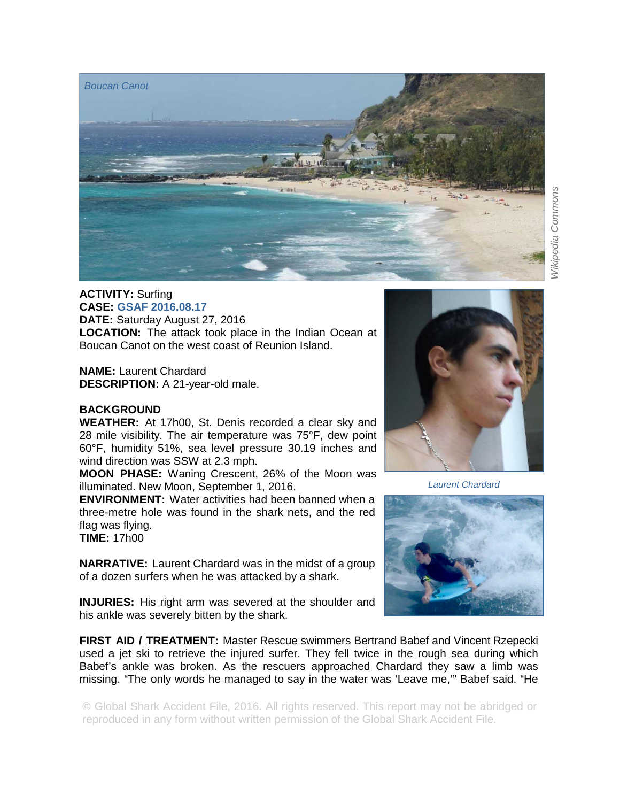

*Wikipedia Commons* **Nikipedia Commons** 

## **ACTIVITY:** Surfing

**CASE: GSAF 2016.08.17 DATE:** Saturday August 27, 2016 **LOCATION:** The attack took place in the Indian Ocean at Boucan Canot on the west coast of Reunion Island.

**NAME: Laurent Chardard DESCRIPTION:** A 21-year-old male.

## **BACKGROUND**

*Boucan Canot* 

**WEATHER:** At 17h00, St. Denis recorded a clear sky and 28 mile visibility. The air temperature was 75°F, dew point 60°F, humidity 51%, sea level pressure 30.19 inches and wind direction was SSW at 2.3 mph.

**MOON PHASE:** Waning Crescent, 26% of the Moon was illuminated. New Moon, September 1, 2016.

**ENVIRONMENT:** Water activities had been banned when a three-metre hole was found in the shark nets, and the red flag was flying.

**TIME:** 17h00

**NARRATIVE:** Laurent Chardard was in the midst of a group of a dozen surfers when he was attacked by a shark.

**INJURIES:** His right arm was severed at the shoulder and his ankle was severely bitten by the shark.

**FIRST AID / TREATMENT:** Master Rescue swimmers Bertrand Babef and Vincent Rzepecki used a jet ski to retrieve the injured surfer. They fell twice in the rough sea during which Babef's ankle was broken. As the rescuers approached Chardard they saw a limb was missing. "The only words he managed to say in the water was 'Leave me,'" Babef said. "He

© Global Shark Accident File, 2016. All rights reserved. This report may not be abridged or reproduced in any form without written permission of the Global Shark Accident File.



*Laurent Chardard*